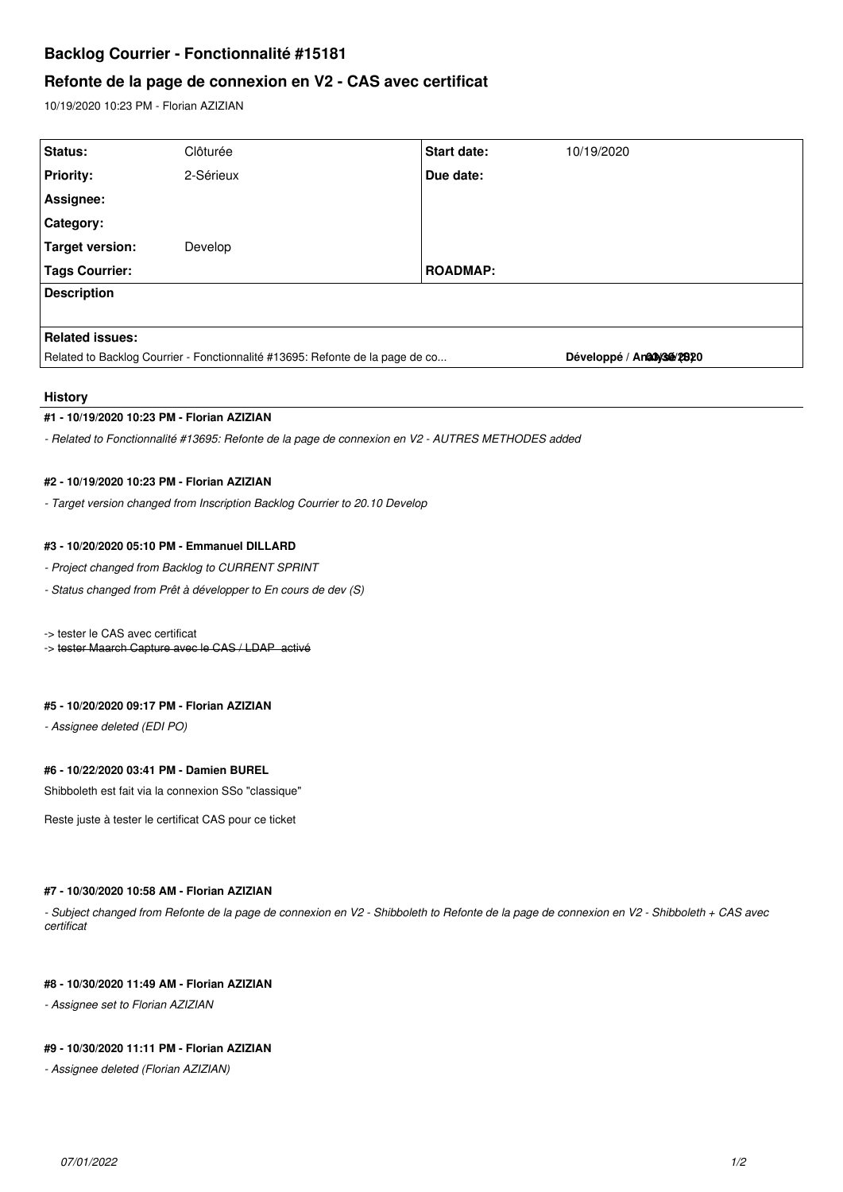# **Backlog Courrier - Fonctionnalité #15181**

# **Refonte de la page de connexion en V2 - CAS avec certificat**

10/19/2020 10:23 PM - Florian AZIZIAN

| Status:                                                                       | Clôturée  | <b>Start date:</b> | 10/19/2020                  |
|-------------------------------------------------------------------------------|-----------|--------------------|-----------------------------|
| <b>Priority:</b>                                                              | 2-Sérieux | Due date:          |                             |
| Assignee:                                                                     |           |                    |                             |
| Category:                                                                     |           |                    |                             |
| Target version:                                                               | Develop   |                    |                             |
| <b>Tags Courrier:</b>                                                         |           | <b>ROADMAP:</b>    |                             |
| <b>Description</b>                                                            |           |                    |                             |
|                                                                               |           |                    |                             |
| <b>Related issues:</b>                                                        |           |                    |                             |
| Related to Backlog Courrier - Fonctionnalité #13695: Refonte de la page de co |           |                    | Développé / Anally3de/20520 |
|                                                                               |           |                    |                             |

### **History**

## **#1 - 10/19/2020 10:23 PM - Florian AZIZIAN**

*- Related to Fonctionnalité #13695: Refonte de la page de connexion en V2 - AUTRES METHODES added*

#### **#2 - 10/19/2020 10:23 PM - Florian AZIZIAN**

*- Target version changed from Inscription Backlog Courrier to 20.10 Develop*

## **#3 - 10/20/2020 05:10 PM - Emmanuel DILLARD**

- *Project changed from Backlog to CURRENT SPRINT*
- *Status changed from Prêt à développer to En cours de dev (S)*

-> tester le CAS avec certificat

-> tester Maarch Capture avec le CAS / LDAP activé

## **#5 - 10/20/2020 09:17 PM - Florian AZIZIAN**

*- Assignee deleted (EDI PO)*

## **#6 - 10/22/2020 03:41 PM - Damien BUREL**

Shibboleth est fait via la connexion SSo "classique"

Reste juste à tester le certificat CAS pour ce ticket

## **#7 - 10/30/2020 10:58 AM - Florian AZIZIAN**

*- Subject changed from Refonte de la page de connexion en V2 - Shibboleth to Refonte de la page de connexion en V2 - Shibboleth + CAS avec certificat*

## **#8 - 10/30/2020 11:49 AM - Florian AZIZIAN**

*- Assignee set to Florian AZIZIAN*

### **#9 - 10/30/2020 11:11 PM - Florian AZIZIAN**

*- Assignee deleted (Florian AZIZIAN)*